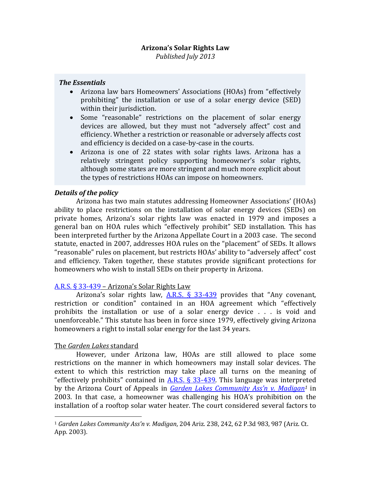# **Arizona's Solar Rights Law**

*Published July 2013*

#### *The Essentials*

- Arizona law bars Homeowners' Associations (HOAs) from "effectively prohibiting" the installation or use of a solar energy device (SED) within their jurisdiction.
- Some "reasonable" restrictions on the placement of solar energy devices are allowed, but they must not "adversely affect" cost and efficiency. Whether a restriction or reasonable or adversely affects cost and efficiency is decided on a case-by-case in the courts.
- Arizona is one of 22 states with solar rights laws. Arizona has a relatively stringent policy supporting homeowner's solar rights, although some states are more stringent and much more explicit about the types of restrictions HOAs can impose on homeowners.

## *Details of the policy*

Arizona has two main statutes addressing Homeowner Associations' (HOAs) ability to place restrictions on the installation of solar energy devices (SEDs) on private homes, Arizona's solar rights law was enacted in 1979 and imposes a general ban on HOA rules which "effectively prohibit" SED installation. This has been interpreted further by the Arizona Appellate Court in a 2003 case. The second statute, enacted in 2007, addresses HOA rules on the "placement" of SEDs. It allows "reasonable" rules on placement, but restricts HOAs' ability to "adversely affect" cost and efficiency. Taken together, these statutes provide significant protections for homeowners who wish to install SEDs on their property in Arizona.

## [A.R.S. § 33-439](http://www.azleg.gov/FormatDocument.asp?inDoc=/ars/33/00439.htm&Title=33&DocType=ARS) – Arizona's Solar Rights Law

Arizona's solar rights law,  $A.R.S. \$ § 33-439 provides that "Any covenant, restriction or condition" contained in an HOA agreement which "effectively prohibits the installation or use of a solar energy device . . . is void and unenforceable." This statute has been in force since 1979, effectively giving Arizona homeowners a right to install solar energy for the last 34 years.

#### The *Garden Lakes* standard

 $\overline{\phantom{a}}$ 

However, under Arizona law, HOAs are still allowed to place some restrictions on the manner in which homeowners may install solar devices. The extent to which this restriction may take place all turns on the meaning of "effectively prohibits" contained in A.R.S.  $\S$  33-439. This language was interpreted by the Arizona Court of Appeals in *[Garden Lakes Commu](http://caselaw.findlaw.com/az-court-of-appeals/1320811.html)nity Ass'n v. Madigan<sup>1</sup>* in 2003. In that case, a homeowner was challenging his HOA's prohibition on the installation of a rooftop solar water heater. The court considered several factors to

<sup>1</sup> *Garden Lakes Community Ass'n v. Madigan*, 204 Ariz. 238, 242, 62 P.3d 983, 987 (Ariz. Ct. App. 2003).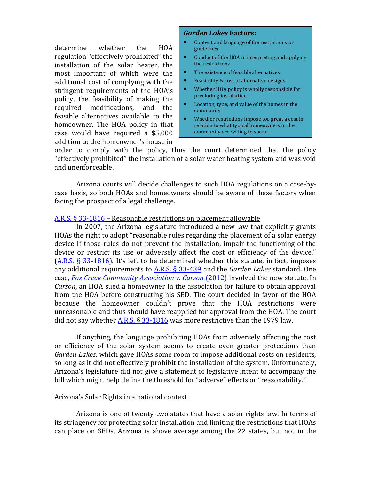determine whether the HOA regulation "effectively prohibited" the installation of the solar heater, the most important of which were the additional cost of complying with the stringent requirements of the HOA's policy, the feasibility of making the required modifications, and the feasible alternatives available to the homeowner. The HOA policy in that case would have required a \$5,000 addition to the homeowner's house in

#### *Garden Lakes* **Factors:**

- Content and language of the restrictions or guidelines
- Conduct of the HOA in interpreting and applying the restrictions
- The existence of feasible alternatives
- Feasibility & cost of alternative designs
- Whether HOA policy is wholly responsible for precluding installation
- Location, type, and value of the homes in the community
- Whether restrictions impose too great a cost in relation to what typical homeowners in the community are willing to spend.

order to comply with the policy, thus the court determined that the policy "effectively prohibited" the installation of a solar water heating system and was void and unenforceable.

Arizona courts will decide challenges to such HOA regulations on a case-bycase basis, so both HOAs and homeowners should be aware of these factors when facing the prospect of a legal challenge.

#### [A.R.S. § 33-1816](http://www.azleg.gov/FormatDocument.asp?inDoc=/ars/33/01816.htm&Title=33&DocType=ARS) – Reasonable restrictions on placement allowable

In 2007, the Arizona legislature introduced a new law that explicitly grants HOAs the right to adopt "reasonable rules regarding the placement of a solar energy device if those rules do not prevent the installation, impair the functioning of the device or restrict its use or adversely affect the cost or efficiency of the device." [\(A.R.S. § 33-1816](http://www.azleg.gov/FormatDocument.asp?inDoc=/ars/33/01816.htm&Title=33&DocType=ARS)). It's left to be determined whether this statute, in fact, imposes any additional requirements to [A.R.S. § 33-439](http://www.azleg.gov/FormatDocument.asp?inDoc=/ars/33/00439.htm&Title=33&DocType=ARS) and the *Garden Lakes* standard. One case, *[Fox Creek Community Association v. Carson](http://scholar.google.com/scholar_case?case=5373214550419386183&hl=en&as_sdt=2&as_vis=1&oi=scholarr)* (2012) involved the new statute. In *Carson*, an HOA sued a homeowner in the association for failure to obtain approval from the HOA before constructing his SED. The court decided in favor of the HOA because the homeowner couldn't prove that the HOA restrictions were unreasonable and thus should have reapplied for approval from the HOA. The court did not say whether  $\underline{\text{A.R.S.}}$  § 33-1816 was more restrictive than the 1979 law.

If anything, the language prohibiting HOAs from adversely affecting the cost or efficiency of the solar system seems to create even greater protections than *Garden Lakes*, which gave HOAs some room to impose additional costs on residents, so long as it did not effectively prohibit the installation of the system. Unfortunately, Arizona's legislature did not give a statement of legislative intent to accompany the bill which might help define the threshold for "adverse" effects or "reasonability."

#### Arizona's Solar Rights in a national context

Arizona is one of twenty-two states that have a solar rights law. In terms of its stringency for protecting solar installation and limiting the restrictions that HOAs can place on SEDs, Arizona is above average among the 22 states, but not in the